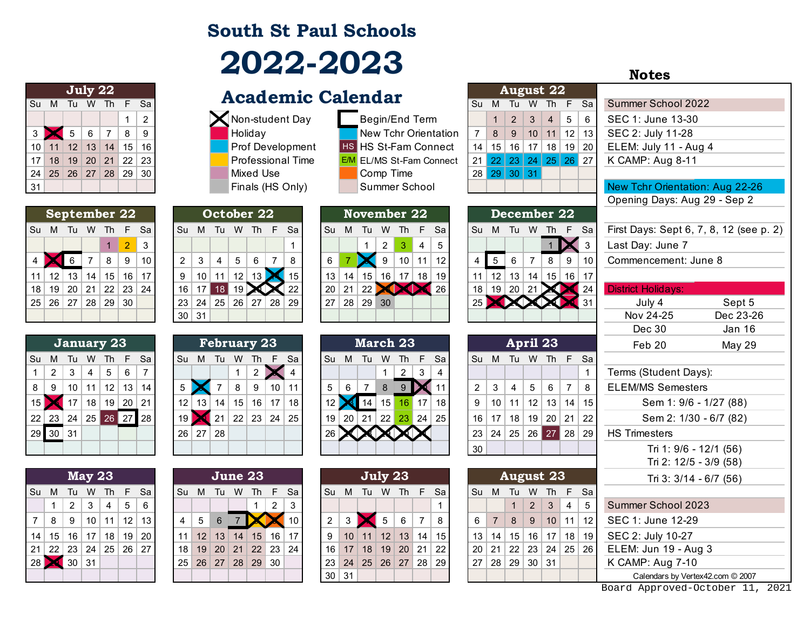## **South St Paul Schools 2022-2023**

|    |    |                | July 22          |                |     |    |
|----|----|----------------|------------------|----------------|-----|----|
| Su | M  | Tu             | W                | <b>Th</b>      | -F. | Sa |
|    |    |                |                  |                | 1   | 2  |
| 3  |    | 5 <sup>5</sup> | $\overline{6}$   | $\overline{7}$ | 8   | 9  |
| 10 | 11 |                | $12$ 13 14 15    |                |     | 16 |
| 17 | 18 |                | $19$ 20 21 22 23 |                |     |    |
| 24 |    |                | 25 26 27 28 29   |                |     | 30 |
| 31 |    |                |                  |                |     |    |

|    |                 |                      |                | <b>September 22</b>       |                |    |
|----|-----------------|----------------------|----------------|---------------------------|----------------|----|
| Su | м               | Tu W Th              |                |                           | -F             | Sa |
|    |                 |                      |                | 1                         | $\overline{2}$ | 3  |
| 4  |                 | 6                    | $\overline{7}$ | 8                         | 9              | 10 |
| 11 | 12 <sup>2</sup> | 13                   | 14             | 15 <sup>1</sup>           | 16             | 17 |
| 18 | 19              | $\vert$ 20           | $\vert$ 21     | $\vert 22 \vert 23 \vert$ |                | 24 |
| 25 |                 | $26 \mid 27 \mid 28$ |                | 29                        | -30            |    |
|    |                 |                      |                |                           |                |    |

|    |                   |                 |                | January 23          |              |    |
|----|-------------------|-----------------|----------------|---------------------|--------------|----|
| Su | М                 | Tu              | W              | Th                  | $\mathbf{F}$ | Sa |
| 1  | 2                 | -3              | $\overline{4}$ | -5                  | 6            | 7  |
| 8  | 9                 | 10 <sup>°</sup> |                | $11$   12   13      |              | 14 |
| 15 |                   |                 |                | $17$   18   19   20 |              | 21 |
|    | 22 23 24 25 26 27 |                 |                |                     |              | 28 |
| 29 | 30                | 31              |                |                     |              |    |
|    |                   |                 |                |                     |              |    |

|    |                             |                | <b>May 23</b> |               |    |     |
|----|-----------------------------|----------------|---------------|---------------|----|-----|
| Su | M                           | Tu             | W             | Th            | -F | Sa  |
|    | 1                           | 2              | 3             | 4             | 5  | 6   |
| 7  | 8                           | $\overline{9}$ |               | $10$ 11 12 13 |    |     |
| 14 | 15   16   17   18   19      |                |               |               |    | -20 |
| 21 | 22   23   24   25   26   27 |                |               |               |    |     |
| 28 |                             | 30             | 31            |               |    |     |
|    |                             |                |               |               |    |     |

|                |                      |      |   | July 22 |   |               |  |  | <b>Academic Calendar</b> |                                 |      |                 | August 22            |              |                |   |                 |                              |
|----------------|----------------------|------|---|---------|---|---------------|--|--|--------------------------|---------------------------------|------|-----------------|----------------------|--------------|----------------|---|-----------------|------------------------------|
|                | Su M                 | Tu W |   | Th F    |   | <b>Sa</b>     |  |  |                          |                                 | . Su | M               | Tu                   | W            | Th F           |   | Sa l            | Summer School 2022           |
|                |                      |      |   |         |   | $\mathcal{P}$ |  |  | Non-student Day          | Begin/End Term                  |      |                 | 2                    | $\mathbf{3}$ | $\overline{4}$ | 5 | 6               | SEC 1: June 13-30            |
| 3 <sup>2</sup> |                      |      | 6 |         | 8 | -9            |  |  | Holiday                  | New Tchr Orientation            |      | 8               | 9                    | 10           | $11$ 12        |   | 13 <sup>1</sup> | SEC 2: July 11-28            |
|                | 10 11 12 13 14 15 16 |      |   |         |   |               |  |  | <b>Prof Development</b>  | <b>HS HS St-Fam Connect</b>     | 14   | 15 <sup>1</sup> |                      |              |                |   | 16 17 18 19 20  | ELEM: July 11 - Aug 4        |
|                | 17 18 19 20 21       |      |   |         |   | 22 23         |  |  | <b>Professional Time</b> | <b>E/M</b> EL/MS St-Fam Connect |      |                 | 21 22 23 24 25 26 27 |              |                |   |                 | K CAMP: Aug 8-11             |
|                | 24 25 26 27 28 29 30 |      |   |         |   |               |  |  | Mixed Use                | Comp Time                       |      |                 | 28 29 30 31          |              |                |   |                 |                              |
| 31             |                      |      |   |         |   |               |  |  | Finals (HS Only)         | Summer School                   |      |                 |                      |              |                |   |                 | <b>New Tchr Orientation:</b> |
|                |                      |      |   |         |   |               |  |  |                          |                                 |      |                 |                      |              |                |   |                 | Opening Dove: Aug 2          |

|                          |    |                 |                 |    | December 22 |    |           |     |    | November 22     |    |    |    |    |    |    |              |                   | October 22 |     |                |    |      | September 22    |                 |                 |           |  |
|--------------------------|----|-----------------|-----------------|----|-------------|----|-----------|-----|----|-----------------|----|----|----|----|----|----|--------------|-------------------|------------|-----|----------------|----|------|-----------------|-----------------|-----------------|-----------|--|
| First Days: Sept         | Sa | $\sim$ F $\sim$ | <b>Th</b>       | W  | Tu          | M  | <b>Su</b> | -Sa |    | $Th$ $F$ .      | W  | Tu | м  | Su | Sa |    | $\sqrt{h}$ F | W                 | Tu         | M   | Su             | Sa | /F 7 | Th              | W.              | Tu              | Su M      |  |
| Last Day: June           |    |                 |                 |    |             |    |           |     | 4  |                 |    |    |    |    |    |    |              |                   |            |     |                | 3  | 2.   |                 |                 |                 |           |  |
| Commencement             | 10 | 9               | 8               |    |             |    |           | 12  | 11 | 10 <sup>°</sup> | 9  |    |    | 6  | 8  |    | 6            | 5                 |            | 3   | $\overline{2}$ | 10 | 9    | 8               |                 |                 |           |  |
|                          | 17 | 16 <sup>1</sup> | 15 <sup>1</sup> | 14 | 13          | 12 |           | 19  | 18 | 17 <sup>1</sup> | 16 | 15 | 14 | 13 | 15 |    |              | $12 \overline{ }$ |            | 10  |                | 17 | 16   | 15              | 14              | 13 <sup>1</sup> | $11$   12 |  |
| <b>District Holidays</b> | 24 |                 |                 |    | 20          | 19 | 18        | 26  |    |                 |    |    | 21 | 20 | 22 |    |              |                   |            |     | 16             | 24 | 23   | 22              | 21              | 20 <sub>1</sub> | 18 19     |  |
| July 4                   |    |                 |                 |    |             |    |           |     |    |                 | 30 | 29 | 28 | 27 | 29 | 28 | . 27 '       | 26 <sup>1</sup>   | 25         | 24  | 23             |    | 30   | 29 <sup>°</sup> | 28 <sup>1</sup> | 25   26   27    |           |  |
| Nov 24-25                |    |                 |                 |    |             |    |           |     |    |                 |    |    |    |    |    |    |              |                   |            | -31 | 30             |    |      |                 |                 |                 |           |  |
|                          |    |                 |                 |    |             |    |           |     |    |                 |    |    |    |    |    |    |              |                   |            |     |                |    |      |                 |                 |                 |           |  |

|                 |         |    |    | January 23 |            |    |    |    | <b>February 23</b> |                 |    |    |    |    |    | March 23 |    |     |    |    |               |    | April 23 |    |    |                 |              |
|-----------------|---------|----|----|------------|------------|----|----|----|--------------------|-----------------|----|----|----|----|----|----------|----|-----|----|----|---------------|----|----------|----|----|-----------------|--------------|
| Su              | м       | ш  | w  | 1h         | F.         | Sa | Su | м  | Тu                 | W               | ıh |    | Sa | Su | м  | Tu       | w  | 1h  | F  | Sa | Su            | M  | Tu       | W  | 1h |                 | F Sa         |
|                 | 2       | 3  | 4  | 5          | 6          |    |    |    |                    |                 |    |    |    |    |    |          |    | 2   | 3  | 4  |               |    |          |    |    |                 | $\mathbf{1}$ |
| 8 <sup>1</sup>  | 9       | 10 | 11 | 12         | 13         | 14 |    |    |                    | 8               | 9  | 10 | 11 | 5  | 6  |          | 8  |     |    |    | $\mathcal{P}$ |    | 4        | 5  | 6  |                 | - 8          |
|                 |         |    | 18 | 19         | 20         | 21 | 12 | 13 | 14                 | 15              | 16 | 17 | 18 |    |    | 14       | 15 | 16  |    | 18 | 9             | 10 |          | 12 | 13 | 14 <sup>1</sup> | 15           |
| 22 <sup>1</sup> | 23      | 24 | 25 | 26         | <b>271</b> | 28 | 19 |    | 21                 | 22 <sub>1</sub> | 23 | 24 | 25 | 19 | 20 | 21       | 22 | -23 | 24 | 25 | 16            |    | 18       | 19 | 20 | $21 \mid 22$    |              |
|                 | $29$ 30 | 31 |    |            |            |    | 26 | 27 | 28                 |                 |    |    |    | 26 |    |          |    |     |    |    | 23            | 24 | 25       | 26 | 27 | 28 29           |              |
|                 |         |    |    |            |            |    |    |    |                    |                 |    |    |    |    |    |          |    |     |    |    | 30            |    |          |    |    |                 |              |

|                |    |    | <b>May 23</b> |    |                   |           |    |    | June 23 |    |    |    |           |                 |                 |    | July 23 |                 |    |    |    |                | <b>August 23</b> |               |                 |                 |      |
|----------------|----|----|---------------|----|-------------------|-----------|----|----|---------|----|----|----|-----------|-----------------|-----------------|----|---------|-----------------|----|----|----|----------------|------------------|---------------|-----------------|-----------------|------|
| Su M           |    | Tu | W             | Th | F.                | <b>Sa</b> | Su | M  | Tu      | W  | Th | F  | Sa        | Su              | M               | Tu | W       | Th Th           | F. | Sa | Su | M              | Tu               | W             | Th              |                 | F Sa |
|                |    | 2  | 3             | 4  | $5^{\circ}$       | 6         |    |    |         |    |    | 2  | 3         |                 |                 |    |         |                 |    |    |    |                |                  | $\mathcal{P}$ | 3               | 4               | 5    |
| 7 <sup>1</sup> | -8 | 9  | 10            | 11 | $12 \overline{ }$ | 13        | 4  | 5  | 6       |    |    |    | 10        | 2               |                 |    | 5       | 6               | 7  | 8  | 6  | $\overline{7}$ | 8                | 9             | 10 <sup>1</sup> | $11$   12       |      |
| 14             | 15 | 16 | 17            | 18 | 19                | 20        | 11 | 12 | 13      | 14 | 15 | 16 | 17        | 9               | 10 <sup>°</sup> | 11 | 12      | 13              | 14 | 15 | 13 | 14             | 15               | 16            | 17              | 18 <sup>1</sup> | 19   |
| 21             | 22 | 23 | 24            | 25 | $+26$             | 27        | 18 | 19 | 20      | 21 | 22 | 23 | $\mid$ 24 | 16              | 17              | 18 | 19      | 20 <sup>1</sup> | 21 | 22 | 20 | 21             | 22               | 23            | 24              | 25 26           |      |
| 28             |    | 30 | 31            |    |                   |           | 25 | 26 | 27      | 28 | 29 | 30 |           | 23              | 24              | 25 | 26      | 27              | 28 | 29 | 27 | 28             | 29               | 30 31         |                 |                 |      |
|                |    |    |               |    |                   |           |    |    |         |    |    |    |           | 30 <sup>1</sup> | 31              |    |         |                 |    |    |    |                |                  |               |                 |                 |      |

|   | епцаг                |
|---|----------------------|
|   | Begin/End Term       |
|   | New Tchr Orientation |
|   | S HS St-Fam Connect  |
| M | EL/MS St-Fam Connect |
|   | Comp Time            |
|   | Summer School        |

|    |    |                    | November 22         |      |    |    |
|----|----|--------------------|---------------------|------|----|----|
| Su | М  | Tu                 | W                   | - Th | -F | Sa |
|    |    |                    | 2                   | -3   | 4  | 5  |
| 6  |    |                    | 9                   | 10   | 11 | 12 |
| 13 | 14 |                    | $15$   16   17   18 |      |    | 19 |
| 20 | 21 | $\vert$ 22 $\vert$ |                     |      |    | 26 |
| 27 |    | 28 29              | 30                  |      |    |    |
|    |    |                    |                     |      |    |    |

|    |    |    |    | <b>March 23</b> |    |    |
|----|----|----|----|-----------------|----|----|
| Su | M  | Tu | W  | Th              | F  | Sa |
|    |    |    | 1  | 2               | 3  | 4  |
| 5  | 6  | 7  | 8  | 9               |    | 11 |
| 12 |    | 14 | 15 | 16              | 17 | 18 |
| 19 | 20 | 21 |    | 22 23 24        |    | 25 |
| 26 |    |    |    |                 |    |    |
|    |    |    |    |                 |    |    |

|                |    |                  | July 23        |               |           |      |
|----------------|----|------------------|----------------|---------------|-----------|------|
| Su             | M  | Tu               | W              | -Th           | -F        | Sa   |
|                |    |                  |                |               |           | 1    |
| $\overline{2}$ | 3  |                  | 5 <sup>5</sup> | 6             | $\vert$ 7 | 8    |
| 9              | 10 |                  |                | $11$ 12 13 14 |           | ∣ 15 |
| 16             |    | $17$ 18 19 20 21 |                |               |           | -22  |
| 23             |    | 24 25 26 27 28   |                |               |           | 29   |
| 30             | 31 |                  |                |               |           |      |

|   |    |                            |   | <b>August 22</b>  |             |    |
|---|----|----------------------------|---|-------------------|-------------|----|
|   | Su | M                          |   | Tu W Th F         |             | Sa |
|   |    |                            |   | $2 \mid 3 \mid 4$ | $5^{\circ}$ | 6  |
| ٦ |    | 8                          | 9 | 10   11   12   13 |             |    |
|   | 14 | │ 15 │ 16 │ 17 │ 18 │ 19 │ |   |                   |             | 20 |
| t | 21 | 22 23 24 25 26 27          |   |                   |             |    |
|   | 28 | $29 \mid 30 \mid 31$       |   |                   |             |    |
|   |    |                            |   |                   |             |    |

| December 22 |    |    |                |    |    |    |  |  |  |  |
|-------------|----|----|----------------|----|----|----|--|--|--|--|
| Su          | M  | Tu | W              | Th | F  | Sa |  |  |  |  |
|             |    |    |                |    |    | 3  |  |  |  |  |
| 4           | 5  | 6  | $\overline{7}$ | 8  | 9  | 10 |  |  |  |  |
| 11          | 12 | 13 | 14             | 15 | 16 | 17 |  |  |  |  |
| 18          | 19 | 20 | 21             |    |    | 24 |  |  |  |  |
| 25          |    |    |                |    |    | 31 |  |  |  |  |
|             |    |    |                |    |    |    |  |  |  |  |
|             |    |    |                |    |    |    |  |  |  |  |

|                |                                  |                 | April 23                      |                |           |    |  |  |
|----------------|----------------------------------|-----------------|-------------------------------|----------------|-----------|----|--|--|
| Su             | M                                |                 | Tu W Th                       |                | - F       | Sa |  |  |
|                |                                  |                 |                               |                |           |    |  |  |
| $\overline{2}$ | $\mathbf{3}$                     | $\vert 4 \vert$ | 5 <sup>5</sup>                | $\overline{6}$ | $\vert$ 7 | 8  |  |  |
| 9              |                                  |                 | $10$   11   12   13   14   15 |                |           |    |  |  |
|                | 16   17   18   19   20   21   22 |                 |                               |                |           |    |  |  |
| 23             | $24$ 25 26 27 28 29              |                 |                               |                |           |    |  |  |
| 30             |                                  |                 |                               |                |           |    |  |  |

|       |             |                 | <b>May 23</b> |    |                 |                      |                 |                 |         | June 23           |     |                |                 |                 |    |             | July 23 |           |      |                 |                 |    | <b>August 23</b> |                 |                 |                 |                 | Tri 3: 3/14 -              |
|-------|-------------|-----------------|---------------|----|-----------------|----------------------|-----------------|-----------------|---------|-------------------|-----|----------------|-----------------|-----------------|----|-------------|---------|-----------|------|-----------------|-----------------|----|------------------|-----------------|-----------------|-----------------|-----------------|----------------------------|
| Sulli | M           | Tu              | W             | Th |                 | Sa                   | Su s            | - M             | - Tu    | W                 | Th. | F.             | Sa l            | l Su            | M  | Tu.         | W       | <b>Th</b> | /F / | <b>Sa</b>       | . Su            | M  | - Tu             | W               | Th F Sal        |                 |                 |                            |
|       |             | 2               | 3             | 4  | 5               | 6                    |                 |                 |         |                   |     | $\overline{2}$ | 3               |                 |    |             |         |           |      |                 |                 |    |                  | 2               | 3               |                 | 5 <sup>5</sup>  | Summer School 202          |
|       | $7 \mid 8$  | 9               | 10            | 11 | 12 <sup>1</sup> | 13 <sup>1</sup>      | 4               | $5\overline{)}$ | 6       |                   |     |                | 10 <sup>°</sup> | $\overline{2}$  | 3  |             |         |           |      | 8               | 6               |    | 8                | 9               | 10 <sup>1</sup> | 11 <sup>1</sup> | 12 <sup>1</sup> | SEC 1: June 12-29          |
|       | 14   15     | 16 <sup>1</sup> | 17            | 18 | 19              | 20                   | 11 <sup>h</sup> |                 | $12$ 13 | 14                | 15  | 16             | 17              | 9               | 10 | 11          | 12      | 13        | 14   | 15 <sup>1</sup> | 13 <sup>1</sup> | 14 | 15 <sup>2</sup>  | 16 <sup>1</sup> | 17              | 18 <sup>1</sup> | 19 <sup>1</sup> | SEC 2: July 10-27          |
|       | 21   22     | 23              | 24            |    |                 | $25 \mid 26 \mid 27$ | 18 <sup>1</sup> |                 |         | 19 20 21 22 23 24 |     |                |                 | 16              | 17 | 18          | 19      | $20$ 21   |      | 22              | 20 <sup>1</sup> | 21 |                  |                 |                 |                 | 22 23 24 25 26  | ELEM: Jun 19 - Aug         |
|       | 28 <b>X</b> | 30              | 31            |    |                 |                      |                 |                 |         | 25 26 27 28 29 30 |     |                |                 | 23 <sup>1</sup> |    | 24 25 26 27 |         |           |      | 28 29           | 27 <sup>1</sup> | 28 | $29$ 30 31       |                 |                 |                 |                 | K CAMP: Aug 7-10           |
|       |             |                 |               |    |                 |                      |                 |                 |         |                   |     |                |                 | 30 31           |    |             |         |           |      |                 |                 |    |                  |                 |                 |                 |                 | <b>Calendars by Vertex</b> |

**Notes**

|                       | SUM IUW IN                  |                 |                |                | <b>F</b>       | sa               |                |               |                     |           |                                      |                |                              |                |                 |                    |                  |                |                |                                 | su             | M                 | 1u                   | VV.             | In              | $\mathsf{F}$        | Sа              | Summer School 2022                      |               |  |  |
|-----------------------|-----------------------------|-----------------|----------------|----------------|----------------|------------------|----------------|---------------|---------------------|-----------|--------------------------------------|----------------|------------------------------|----------------|-----------------|--------------------|------------------|----------------|----------------|---------------------------------|----------------|-------------------|----------------------|-----------------|-----------------|---------------------|-----------------|-----------------------------------------|---------------|--|--|
|                       |                             |                 |                |                | 1              | $\overline{2}$   |                |               |                     |           | Non-student Day                      |                |                              |                |                 | Begin/End Term     |                  |                |                |                                 |                | $\mathbf{1}$      | $\overline{2}$       | 3               | $\overline{4}$  | 5                   | 6               | SEC 1: June 13-30                       |               |  |  |
| $3 \mid$              |                             | $\overline{5}$  | $\,6\,$        | $\overline{7}$ | 8              | $\boldsymbol{9}$ |                |               |                     |           | Holiday                              |                |                              |                |                 |                    |                  |                |                | <b>New Tchr Orientation</b>     | $\overline{7}$ | $\bf 8$           | 9                    |                 |                 | $10$ 11 12 13       |                 | SEC 2: July 11-28                       |               |  |  |
|                       | $10$ 11                     | 12              | $\vert$ 13     | $\vert$ 14     | 15             | 16               |                |               |                     |           |                                      |                | Prof Development             |                |                 |                    |                  |                |                | <b>HS HS St-Fam Connect</b>     | 14             | 15                | $16$ 17 18 19 20     |                 |                 |                     |                 | ELEM: July 11 - Aug 4                   |               |  |  |
| 17                    | 18                          | $ 19\rangle$    |                | 20 21 22       |                | 23               |                |               |                     |           |                                      |                | <b>Professional Time</b>     |                |                 |                    |                  |                |                | <b>E/M</b> EL/MS St-Fam Connect | 21             | 22 23 24 25 26 27 |                      |                 |                 |                     |                 | K CAMP: Aug 8-11                        |               |  |  |
| 24                    |                             |                 |                | 25 26 27 28 29 |                | 30               |                |               |                     |           | Mixed Use                            |                |                              |                |                 | Comp Time          |                  |                |                |                                 |                | 28 29 30 31       |                      |                 |                 |                     |                 |                                         |               |  |  |
| 31                    |                             |                 |                |                |                |                  |                |               |                     |           | Finals (HS Only)                     |                |                              |                |                 | Summer School      |                  |                |                |                                 |                |                   |                      |                 |                 |                     |                 | New Tchr Orientation: Aug 22-26         |               |  |  |
|                       |                             |                 |                |                |                |                  |                |               |                     |           |                                      |                | Opening Days: Aug 29 - Sep 2 |                |                 |                    |                  |                |                |                                 |                |                   |                      |                 |                 |                     |                 |                                         |               |  |  |
|                       | September 22                |                 |                |                |                |                  |                |               |                     |           | October 22                           |                |                              |                |                 | <b>November 22</b> |                  |                |                |                                 |                | December 22       |                      |                 |                 |                     |                 |                                         |               |  |  |
|                       | Su M Tu W Th                |                 |                |                | F Sa           |                  |                |               |                     |           | Su M Tu W Th F                       |                | Sa                           |                |                 | Su M Tu W Th F Sa  |                  |                |                |                                 | Su             | M Tu W Th F Sa    |                      |                 |                 |                     |                 | First Days: Sept 6, 7, 8, 12 (see p. 2) |               |  |  |
|                       |                             |                 |                | $\mathbf{1}$   | $\overline{2}$ | 3                |                |               |                     |           |                                      |                | 1                            |                |                 | $\mathbf 1$        | $\overline{2}$   | 3              | 4              | 5                               |                |                   |                      |                 |                 |                     | $\mathbf{3}$    | Last Day: June 7                        |               |  |  |
| 4                     |                             | $6\phantom{.}6$ | $\overline{7}$ | 8              | 9              | 10               | $\overline{2}$ |               | 3<br>4              | 5         | $\,6\,$                              | 7              | 8                            | $\,6\,$        |                 |                    | $\boldsymbol{9}$ |                | $10$ 11        | 12                              | $\overline{4}$ | $5\overline{)}$   | 6                    | $\overline{7}$  | 8               | $9\,$               | 10              | Commencement: June 8                    |               |  |  |
|                       | 11 12                       | $13$ 14         |                | 15             | 16             | 17               | 9              |               | 10                  | 11<br> 12 | $\vert$ 13 $\vert$                   |                | $\vert$ 15                   | 13             | 14              | $15$ 16 17 18 19   |                  |                |                |                                 | 11             | 12                | $13$ 14              |                 |                 | $15$ 16 17          |                 |                                         |               |  |  |
|                       | 18   19   20   21   22   23 |                 |                |                |                | 24               |                | $16$ 17       |                     | 18 19     |                                      |                | 22                           | 20             | 21              | 22 XXX 26          |                  |                |                |                                 |                | $18$ 19 20 21     |                      |                 |                 |                     | $\bigotimes$ 24 | <b>District Holidays:</b>               |               |  |  |
|                       | 25   26   27   28   29   30 |                 |                |                |                |                  | 23             |               | 24                  |           | $25 \mid 26 \mid 27 \mid 28 \mid 29$ |                |                              | 27             | 28              | 29 30              |                  |                |                |                                 |                | 25 XXX            |                      |                 |                 |                     | 31              | July 4                                  | Sept 5        |  |  |
|                       |                             |                 |                |                |                |                  |                | $30 \mid 31$  |                     |           |                                      |                |                              |                |                 |                    |                  |                |                |                                 |                |                   |                      |                 |                 |                     |                 | Nov 24-25                               | Dec 23-26     |  |  |
|                       |                             |                 |                |                |                |                  |                |               |                     |           |                                      |                |                              |                |                 |                    |                  |                |                |                                 |                |                   |                      |                 |                 |                     |                 | Dec 30                                  | <b>Jan 16</b> |  |  |
|                       |                             |                 |                | January 23     |                |                  |                |               |                     |           | <b>February 23</b>                   |                |                              |                |                 | <b>March 23</b>    |                  |                |                |                                 |                |                   | April 23             |                 |                 |                     |                 | Feb 20                                  | <b>May 29</b> |  |  |
| Su                    | M Tu                        |                 | W              | Th             | F.             | Sa               | Su             |               |                     |           | M Tu W Th F                          |                | Sa                           |                | Su M Tu         |                    | W                | Th             | F              | Sa                              | Su             | M                 | Tu W Th F            |                 |                 |                     | - Sa            |                                         |               |  |  |
| 1                     | $\overline{2}$              | 3               | 4              | 5              | 6              | $\overline{7}$   |                |               |                     | 1         | $\overline{c}$                       |                | $\overline{4}$               |                |                 |                    |                  | $\overline{2}$ | 3              | 4                               |                |                   |                      |                 |                 |                     | $\mathbf{1}$    | Terms (Student Days):                   |               |  |  |
| 8                     | 9                           |                 |                | $10$ 11 12     | 13             | 14               |                | $5 \parallel$ | $\overline{7}$      | 8         | $\boldsymbol{9}$                     | 10             | 11                           | 5              | $6\phantom{.}6$ | $\overline{7}$     | $\bf8$           | 9              |                | 11                              | $\overline{2}$ | 3                 | 4                    | $5\phantom{.0}$ | $6\phantom{.}6$ | $\overline{7}$      | 8               | <b>ELEM/MS Semesters</b>                |               |  |  |
| $15$ $\triangleright$ |                             |                 |                |                | $17$ 18 19 20  | 21               |                | $12$ 13       | 14                  | 15        | $16$ 17                              |                | 18                           |                |                 | 12 14 15 16 17     |                  |                |                | 18                              | 9              | 10 <sup>°</sup>   | 11                   | 12              |                 | $13$ 14 15          |                 | Sem 1: 9/6 - 1/27 (88)                  |               |  |  |
|                       | 22   23                     |                 |                |                | 24 25 26 27 28 |                  |                |               | $19$ 21             |           | $22 \mid 23 \mid 24 \mid 25$         |                |                              |                |                 | $19$ 20 21 22 23   |                  |                | $24$ 25        |                                 | 16             | 17                | 18                   |                 |                 | $19$ 20 21 22       |                 | Sem 2: 1/30 - 6/7 (82)                  |               |  |  |
|                       | $29\overline{30}$ 31        |                 |                |                |                |                  |                | 26 27         | 28                  |           |                                      |                |                              | 26             |                 |                    |                  |                |                |                                 | 23             | 24                | 25                   |                 |                 | $26$ $27$ $28$ $29$ |                 | <b>HS Trimesters</b>                    |               |  |  |
|                       |                             |                 |                |                |                |                  |                |               |                     |           |                                      |                |                              |                |                 |                    |                  |                |                |                                 | 30             |                   |                      |                 |                 |                     |                 | Tri 1: 9/6 - 12/1 (56)                  |               |  |  |
|                       |                             |                 |                |                |                |                  |                |               |                     |           |                                      |                |                              |                |                 |                    |                  |                |                |                                 |                |                   |                      |                 |                 |                     |                 | Tri 2: 12/5 - 3/9 (58)                  |               |  |  |
|                       |                             |                 | <b>May 23</b>  |                |                |                  |                |               |                     |           | June 23                              |                |                              |                |                 | July 23            |                  |                |                |                                 |                |                   | <b>August 23</b>     |                 |                 |                     |                 | Tri 3: 3/14 - 6/7 (56)                  |               |  |  |
| Su                    | M                           | Tu W            |                | Th             | F              | Sa               |                |               |                     |           | Su M Tu W Th                         | F              | Sa                           |                |                 | Su M Tu W Th F     |                  |                |                | Sa                              | Su             | M Tu W            |                      |                 | $Th$ $F$        |                     | Sa              |                                         |               |  |  |
|                       | 1                           | $\overline{2}$  | 3              | 4              | 5              | 6                |                |               |                     |           | $\mathbf 1$                          | $\overline{2}$ | 3                            |                |                 |                    |                  |                |                |                                 |                |                   | $\mathbf{1}$         | $\overline{2}$  | $\sqrt{3}$      | $\overline{4}$      | 5               | Summer School 2023                      |               |  |  |
| $\overline{7}$        | 8                           | 9               | $10$   11      |                | 12             | 13               | 4              |               | $6\phantom{1}$<br>5 | $\vert$ 7 |                                      |                | 10                           | $\overline{2}$ | 3 <sup>1</sup>  |                    | 5                | $6\phantom{1}$ | $\overline{7}$ | 8                               | 6              | $\overline{7}$    | $\bf 8$              | 9               | 10              | 11                  | 12              | SEC 1: June 12-29                       |               |  |  |
|                       | 14   15                     | 16 17           |                | 18             | 19             | 20               | 11             |               | 12<br>13            |           | 14 15 16                             |                | 17                           | $9\,$          | 10              | 11                 | 12               | 13 14          |                | 15                              | 13             | 14                | 15                   | 16              |                 | $17$ 18 19          |                 | SEC 2: July 10-27                       |               |  |  |
| 21                    | 22 23 24 25 26              |                 |                |                |                | 27               | 18             |               | 20<br>19            | 21        |                                      | $22$ 23 24     |                              | 16             | 17              | 18                 | $ 19\rangle$     | $\vert$ 20     | 21             | 22                              | 20             | 21                | 22                   | 23              |                 | 24   25   26        |                 | ELEM: Jun 19 - Aug 3                    |               |  |  |
|                       | $28$ 30 31                  |                 |                |                |                |                  | 25             |               | 26                  | 27<br>28  | 29 30                                |                |                              | 23             | 24              | 25 26 27 28        |                  |                |                | 29                              | 27             | 28                | $29 \mid 30 \mid 31$ |                 |                 |                     |                 | K CAMP: Aug 7-10                        |               |  |  |
|                       |                             |                 |                |                |                |                  |                |               |                     |           |                                      |                |                              |                | $30 \mid 31$    |                    |                  |                |                |                                 |                |                   |                      |                 |                 |                     |                 | Calendars by Vertex42.com © 2007        |               |  |  |

Board Approved-October 11, 2021